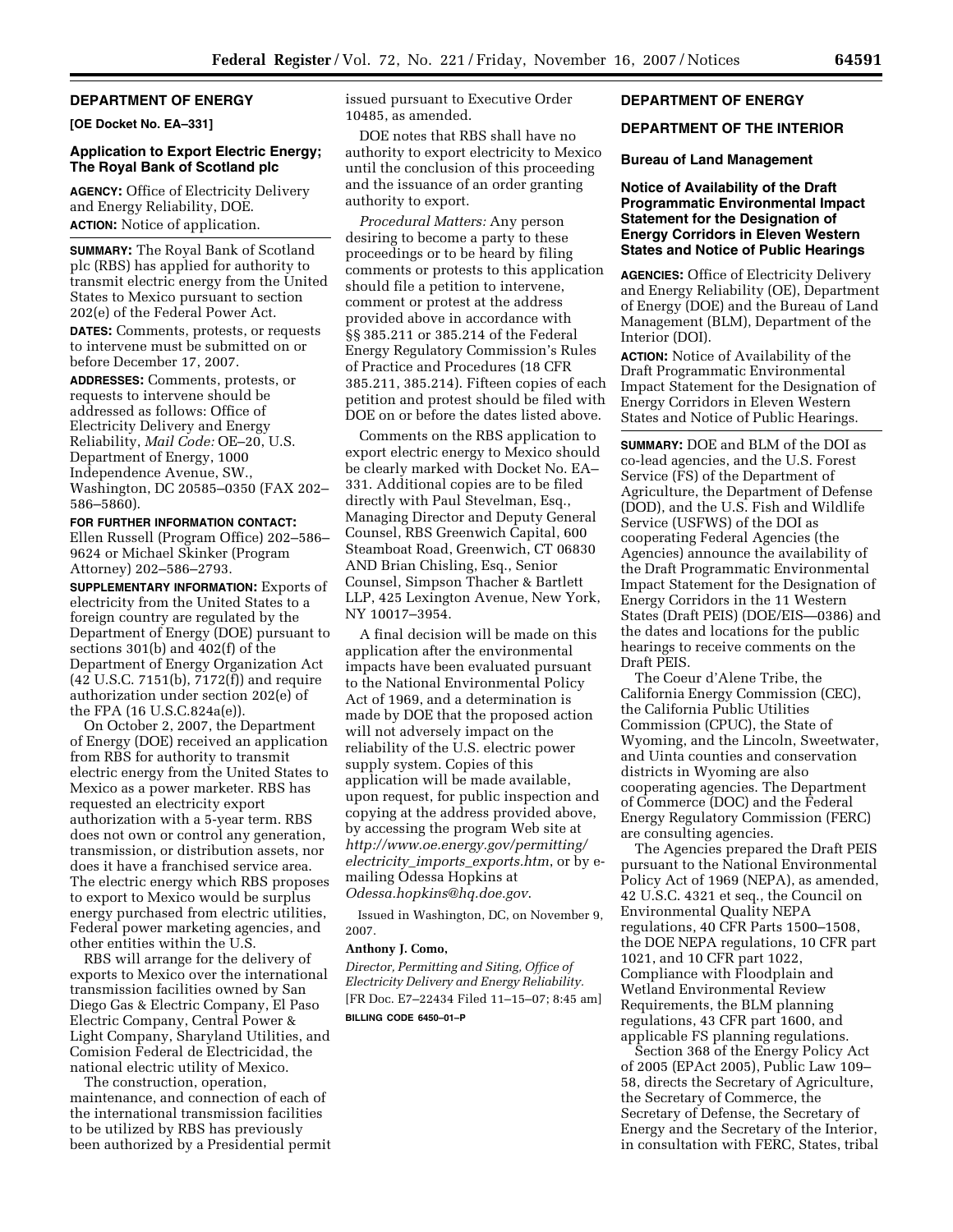## **DEPARTMENT OF ENERGY**

**[OE Docket No. EA–331]** 

## **Application to Export Electric Energy; The Royal Bank of Scotland plc**

**AGENCY:** Office of Electricity Delivery and Energy Reliability, DOE. **ACTION:** Notice of application.

**SUMMARY:** The Royal Bank of Scotland plc (RBS) has applied for authority to transmit electric energy from the United States to Mexico pursuant to section 202(e) of the Federal Power Act.

**DATES:** Comments, protests, or requests to intervene must be submitted on or before December 17, 2007.

**ADDRESSES:** Comments, protests, or requests to intervene should be addressed as follows: Office of Electricity Delivery and Energy Reliability, *Mail Code:* OE–20, U.S. Department of Energy, 1000 Independence Avenue, SW., Washington, DC 20585–0350 (FAX 202– 586–5860).

**FOR FURTHER INFORMATION CONTACT:**  Ellen Russell (Program Office) 202–586– 9624 or Michael Skinker (Program Attorney) 202–586–2793.

**SUPPLEMENTARY INFORMATION:** Exports of electricity from the United States to a foreign country are regulated by the Department of Energy (DOE) pursuant to sections 301(b) and 402(f) of the Department of Energy Organization Act (42 U.S.C. 7151(b), 7172(f)) and require authorization under section 202(e) of the FPA (16 U.S.C.824a(e)).

On October 2, 2007, the Department of Energy (DOE) received an application from RBS for authority to transmit electric energy from the United States to Mexico as a power marketer. RBS has requested an electricity export authorization with a 5-year term. RBS does not own or control any generation, transmission, or distribution assets, nor does it have a franchised service area. The electric energy which RBS proposes to export to Mexico would be surplus energy purchased from electric utilities, Federal power marketing agencies, and other entities within the U.S.

RBS will arrange for the delivery of exports to Mexico over the international transmission facilities owned by San Diego Gas & Electric Company, El Paso Electric Company, Central Power & Light Company, Sharyland Utilities, and Comision Federal de Electricidad, the national electric utility of Mexico.

The construction, operation, maintenance, and connection of each of the international transmission facilities to be utilized by RBS has previously been authorized by a Presidential permit issued pursuant to Executive Order 10485, as amended.

DOE notes that RBS shall have no authority to export electricity to Mexico until the conclusion of this proceeding and the issuance of an order granting authority to export.

*Procedural Matters:* Any person desiring to become a party to these proceedings or to be heard by filing comments or protests to this application should file a petition to intervene, comment or protest at the address provided above in accordance with §§ 385.211 or 385.214 of the Federal Energy Regulatory Commission's Rules of Practice and Procedures (18 CFR 385.211, 385.214). Fifteen copies of each petition and protest should be filed with DOE on or before the dates listed above.

Comments on the RBS application to export electric energy to Mexico should be clearly marked with Docket No. EA– 331. Additional copies are to be filed directly with Paul Stevelman, Esq., Managing Director and Deputy General Counsel, RBS Greenwich Capital, 600 Steamboat Road, Greenwich, CT 06830 AND Brian Chisling, Esq., Senior Counsel, Simpson Thacher & Bartlett LLP, 425 Lexington Avenue, New York, NY 10017–3954.

A final decision will be made on this application after the environmental impacts have been evaluated pursuant to the National Environmental Policy Act of 1969, and a determination is made by DOE that the proposed action will not adversely impact on the reliability of the U.S. electric power supply system. Copies of this application will be made available, upon request, for public inspection and copying at the address provided above, by accessing the program Web site at *http://www.oe.energy.gov/permitting/ electricity*\_*imports*\_*exports.htm*, or by emailing Odessa Hopkins at *Odessa.hopkins@hq.doe.gov*.

Issued in Washington, DC, on November 9, 2007.

### **Anthony J. Como,**

*Director, Permitting and Siting, Office of Electricity Delivery and Energy Reliability.*  [FR Doc. E7–22434 Filed 11–15–07; 8:45 am] **BILLING CODE 6450–01–P** 

# **DEPARTMENT OF ENERGY**

## **DEPARTMENT OF THE INTERIOR**

## **Bureau of Land Management**

## **Notice of Availability of the Draft Programmatic Environmental Impact Statement for the Designation of Energy Corridors in Eleven Western States and Notice of Public Hearings**

**AGENCIES:** Office of Electricity Delivery and Energy Reliability (OE), Department of Energy (DOE) and the Bureau of Land Management (BLM), Department of the Interior (DOI).

**ACTION:** Notice of Availability of the Draft Programmatic Environmental Impact Statement for the Designation of Energy Corridors in Eleven Western States and Notice of Public Hearings.

**SUMMARY:** DOE and BLM of the DOI as co-lead agencies, and the U.S. Forest Service (FS) of the Department of Agriculture, the Department of Defense (DOD), and the U.S. Fish and Wildlife Service (USFWS) of the DOI as cooperating Federal Agencies (the Agencies) announce the availability of the Draft Programmatic Environmental Impact Statement for the Designation of Energy Corridors in the 11 Western States (Draft PEIS) (DOE/EIS—0386) and the dates and locations for the public hearings to receive comments on the Draft PEIS.

The Coeur d'Alene Tribe, the California Energy Commission (CEC), the California Public Utilities Commission (CPUC), the State of Wyoming, and the Lincoln, Sweetwater, and Uinta counties and conservation districts in Wyoming are also cooperating agencies. The Department of Commerce (DOC) and the Federal Energy Regulatory Commission (FERC) are consulting agencies.

The Agencies prepared the Draft PEIS pursuant to the National Environmental Policy Act of 1969 (NEPA), as amended, 42 U.S.C. 4321 et seq., the Council on Environmental Quality NEPA regulations, 40 CFR Parts 1500–1508, the DOE NEPA regulations, 10 CFR part 1021, and 10 CFR part 1022, Compliance with Floodplain and Wetland Environmental Review Requirements, the BLM planning regulations, 43 CFR part 1600, and applicable FS planning regulations.

Section 368 of the Energy Policy Act of 2005 (EPAct 2005), Public Law 109– 58, directs the Secretary of Agriculture, the Secretary of Commerce, the Secretary of Defense, the Secretary of Energy and the Secretary of the Interior, in consultation with FERC, States, tribal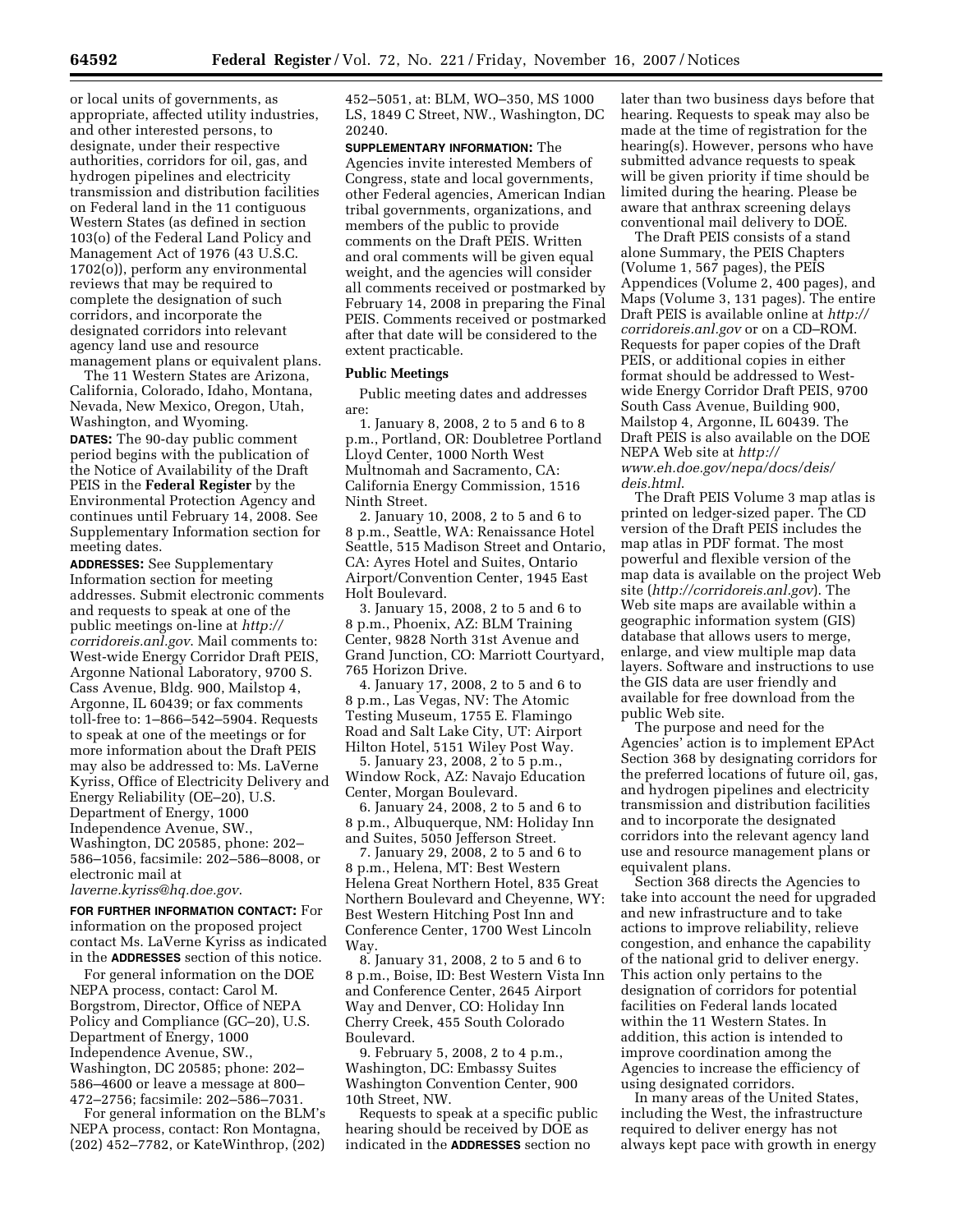or local units of governments, as appropriate, affected utility industries, and other interested persons, to designate, under their respective authorities, corridors for oil, gas, and hydrogen pipelines and electricity transmission and distribution facilities on Federal land in the 11 contiguous Western States (as defined in section 103(o) of the Federal Land Policy and Management Act of 1976 (43 U.S.C. 1702(o)), perform any environmental reviews that may be required to complete the designation of such corridors, and incorporate the designated corridors into relevant agency land use and resource management plans or equivalent plans.

The 11 Western States are Arizona, California, Colorado, Idaho, Montana, Nevada, New Mexico, Oregon, Utah, Washington, and Wyoming. **DATES:** The 90-day public comment period begins with the publication of the Notice of Availability of the Draft PEIS in the **Federal Register** by the Environmental Protection Agency and continues until February 14, 2008. See Supplementary Information section for meeting dates.

**ADDRESSES:** See Supplementary Information section for meeting addresses. Submit electronic comments and requests to speak at one of the public meetings on-line at *http:// corridoreis.anl.gov*. Mail comments to: West-wide Energy Corridor Draft PEIS, Argonne National Laboratory, 9700 S. Cass Avenue, Bldg. 900, Mailstop 4, Argonne, IL 60439; or fax comments toll-free to: 1–866–542–5904. Requests to speak at one of the meetings or for more information about the Draft PEIS may also be addressed to: Ms. LaVerne Kyriss, Office of Electricity Delivery and Energy Reliability (OE–20), U.S. Department of Energy, 1000 Independence Avenue, SW., Washington, DC 20585, phone: 202– 586–1056, facsimile: 202–586–8008, or electronic mail at *laverne.kyriss@hq.doe.gov*.

**FOR FURTHER INFORMATION CONTACT:** For information on the proposed project contact Ms. LaVerne Kyriss as indicated in the **ADDRESSES** section of this notice.

For general information on the DOE NEPA process, contact: Carol M. Borgstrom, Director, Office of NEPA Policy and Compliance (GC–20), U.S. Department of Energy, 1000 Independence Avenue, SW., Washington, DC 20585; phone: 202– 586–4600 or leave a message at 800– 472–2756; facsimile: 202–586–7031.

For general information on the BLM's NEPA process, contact: Ron Montagna, (202) 452–7782, or KateWinthrop, (202) 452–5051, at: BLM, WO–350, MS 1000 LS, 1849 C Street, NW., Washington, DC 20240.

**SUPPLEMENTARY INFORMATION:** The Agencies invite interested Members of Congress, state and local governments, other Federal agencies, American Indian tribal governments, organizations, and members of the public to provide comments on the Draft PEIS. Written and oral comments will be given equal weight, and the agencies will consider all comments received or postmarked by February 14, 2008 in preparing the Final PEIS. Comments received or postmarked after that date will be considered to the extent practicable.

#### **Public Meetings**

Public meeting dates and addresses are:

1. January 8, 2008, 2 to 5 and 6 to 8 p.m., Portland, OR: Doubletree Portland Lloyd Center, 1000 North West Multnomah and Sacramento, CA: California Energy Commission, 1516 Ninth Street.

2. January 10, 2008, 2 to 5 and 6 to 8 p.m., Seattle, WA: Renaissance Hotel Seattle, 515 Madison Street and Ontario, CA: Ayres Hotel and Suites, Ontario Airport/Convention Center, 1945 East Holt Boulevard.

3. January 15, 2008, 2 to 5 and 6 to 8 p.m., Phoenix, AZ: BLM Training Center, 9828 North 31st Avenue and Grand Junction, CO: Marriott Courtyard, 765 Horizon Drive.

4. January 17, 2008, 2 to 5 and 6 to 8 p.m., Las Vegas, NV: The Atomic Testing Museum, 1755 E. Flamingo Road and Salt Lake City, UT: Airport Hilton Hotel, 5151 Wiley Post Way.

5. January 23, 2008, 2 to 5 p.m., Window Rock, AZ: Navajo Education Center, Morgan Boulevard.

6. January 24, 2008, 2 to 5 and 6 to 8 p.m., Albuquerque, NM: Holiday Inn and Suites, 5050 Jefferson Street.

7. January 29, 2008, 2 to 5 and 6 to 8 p.m., Helena, MT: Best Western Helena Great Northern Hotel, 835 Great Northern Boulevard and Cheyenne, WY: Best Western Hitching Post Inn and Conference Center, 1700 West Lincoln Way.

8. January 31, 2008, 2 to 5 and 6 to 8 p.m., Boise, ID: Best Western Vista Inn and Conference Center, 2645 Airport Way and Denver, CO: Holiday Inn Cherry Creek, 455 South Colorado Boulevard.

9. February 5, 2008, 2 to 4 p.m., Washington, DC: Embassy Suites Washington Convention Center, 900 10th Street, NW.

Requests to speak at a specific public hearing should be received by DOE as indicated in the **ADDRESSES** section no

later than two business days before that hearing. Requests to speak may also be made at the time of registration for the hearing(s). However, persons who have submitted advance requests to speak will be given priority if time should be limited during the hearing. Please be aware that anthrax screening delays conventional mail delivery to DOE.

The Draft PEIS consists of a stand alone Summary, the PEIS Chapters (Volume 1, 567 pages), the PEIS Appendices (Volume 2, 400 pages), and Maps (Volume 3, 131 pages). The entire Draft PEIS is available online at *http:// corridoreis.anl.gov* or on a CD–ROM. Requests for paper copies of the Draft PEIS, or additional copies in either format should be addressed to Westwide Energy Corridor Draft PEIS, 9700 South Cass Avenue, Building 900, Mailstop 4, Argonne, IL 60439. The Draft PEIS is also available on the DOE NEPA Web site at *http:// www.eh.doe.gov/nepa/docs/deis/ deis.html*.

The Draft PEIS Volume 3 map atlas is printed on ledger-sized paper. The CD version of the Draft PEIS includes the map atlas in PDF format. The most powerful and flexible version of the map data is available on the project Web site (*http://corridoreis.anl.gov*). The Web site maps are available within a geographic information system (GIS) database that allows users to merge, enlarge, and view multiple map data layers. Software and instructions to use the GIS data are user friendly and available for free download from the public Web site.

The purpose and need for the Agencies' action is to implement EPAct Section 368 by designating corridors for the preferred locations of future oil, gas, and hydrogen pipelines and electricity transmission and distribution facilities and to incorporate the designated corridors into the relevant agency land use and resource management plans or equivalent plans.

Section 368 directs the Agencies to take into account the need for upgraded and new infrastructure and to take actions to improve reliability, relieve congestion, and enhance the capability of the national grid to deliver energy. This action only pertains to the designation of corridors for potential facilities on Federal lands located within the 11 Western States. In addition, this action is intended to improve coordination among the Agencies to increase the efficiency of using designated corridors.

In many areas of the United States, including the West, the infrastructure required to deliver energy has not always kept pace with growth in energy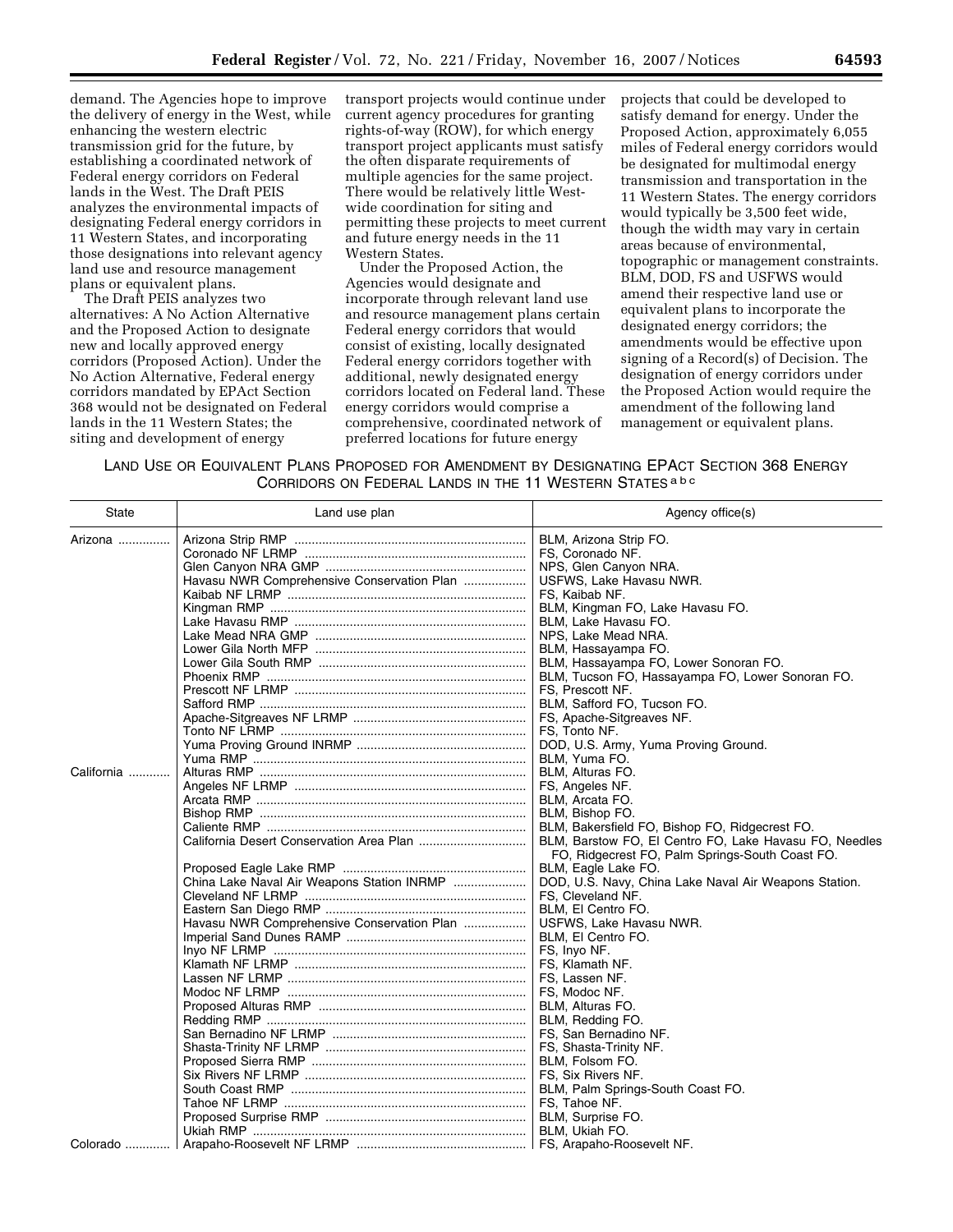demand. The Agencies hope to improve the delivery of energy in the West, while enhancing the western electric transmission grid for the future, by establishing a coordinated network of Federal energy corridors on Federal lands in the West. The Draft PEIS analyzes the environmental impacts of designating Federal energy corridors in 11 Western States, and incorporating those designations into relevant agency land use and resource management plans or equivalent plans.

The Draft PEIS analyzes two alternatives: A No Action Alternative and the Proposed Action to designate new and locally approved energy corridors (Proposed Action). Under the No Action Alternative, Federal energy corridors mandated by EPAct Section 368 would not be designated on Federal lands in the 11 Western States; the siting and development of energy

transport projects would continue under current agency procedures for granting rights-of-way (ROW), for which energy transport project applicants must satisfy the often disparate requirements of multiple agencies for the same project. There would be relatively little Westwide coordination for siting and permitting these projects to meet current and future energy needs in the 11 Western States.

Under the Proposed Action, the Agencies would designate and incorporate through relevant land use and resource management plans certain Federal energy corridors that would consist of existing, locally designated Federal energy corridors together with additional, newly designated energy corridors located on Federal land. These energy corridors would comprise a comprehensive, coordinated network of preferred locations for future energy

projects that could be developed to satisfy demand for energy. Under the Proposed Action, approximately 6,055 miles of Federal energy corridors would be designated for multimodal energy transmission and transportation in the 11 Western States. The energy corridors would typically be 3,500 feet wide, though the width may vary in certain areas because of environmental, topographic or management constraints. BLM, DOD, FS and USFWS would amend their respective land use or equivalent plans to incorporate the designated energy corridors; the amendments would be effective upon signing of a Record(s) of Decision. The designation of energy corridors under the Proposed Action would require the amendment of the following land management or equivalent plans.

| LAND USE OR EQUIVALENT PLANS PROPOSED FOR AMENDMENT BY DESIGNATING EPACT SECTION 368 ENERGY |                                                           |  |  |  |
|---------------------------------------------------------------------------------------------|-----------------------------------------------------------|--|--|--|
|                                                                                             | CORRIDORS ON FEDERAL LANDS IN THE 11 WESTERN STATES a b c |  |  |  |

| <b>State</b>     | Land use plan                              | Agency office(s)                                       |
|------------------|--------------------------------------------|--------------------------------------------------------|
| Arizona $\ldots$ |                                            | BLM, Arizona Strip FO.                                 |
|                  |                                            | FS. Coronado NF.                                       |
|                  |                                            | NPS, Glen Canyon NRA.                                  |
|                  | Havasu NWR Comprehensive Conservation Plan | USFWS, Lake Havasu NWR.                                |
|                  |                                            | FS, Kaibab NF.                                         |
|                  |                                            | BLM, Kingman FO, Lake Havasu FO.                       |
|                  |                                            | BLM, Lake Havasu FO.                                   |
|                  |                                            | NPS, Lake Mead NRA.                                    |
|                  |                                            | BLM, Hassayampa FO.                                    |
|                  |                                            | BLM, Hassayampa FO, Lower Sonoran FO.                  |
|                  |                                            | BLM, Tucson FO, Hassayampa FO, Lower Sonoran FO.       |
|                  |                                            | FS, Prescott NF.                                       |
|                  |                                            | BLM, Safford FO, Tucson FO.                            |
|                  |                                            | FS, Apache-Sitgreaves NF.                              |
|                  |                                            | FS, Tonto NF.                                          |
|                  |                                            | DOD, U.S. Army, Yuma Proving Ground.                   |
|                  |                                            | BLM, Yuma FO.                                          |
| California       |                                            | BLM, Alturas FO.                                       |
|                  |                                            | FS, Angeles NF.                                        |
|                  |                                            | BLM, Arcata FO.                                        |
|                  |                                            | BLM, Bishop FO.                                        |
|                  |                                            | BLM, Bakersfield FO, Bishop FO, Ridgecrest FO.         |
|                  |                                            | BLM, Barstow FO, El Centro FO, Lake Havasu FO, Needles |
|                  |                                            | FO, Ridgecrest FO, Palm Springs-South Coast FO.        |
|                  |                                            | BLM, Eagle Lake FO.                                    |
|                  |                                            | DOD, U.S. Navy, China Lake Naval Air Weapons Station.  |
|                  |                                            | FS, Cleveland NF.                                      |
|                  |                                            | BLM, El Centro FO.                                     |
|                  | Havasu NWR Comprehensive Conservation Plan | USFWS, Lake Havasu NWR.                                |
|                  |                                            | BLM, El Centro FO.                                     |
|                  |                                            | FS, Invo NF.                                           |
|                  |                                            | FS, Klamath NF.                                        |
|                  |                                            | FS. Lassen NF.                                         |
|                  |                                            | FS, Modoc NF.<br>BLM, Alturas FO.                      |
|                  |                                            |                                                        |
|                  |                                            | BLM, Redding FO.<br>FS. San Bernadino NF.              |
|                  |                                            |                                                        |
|                  |                                            | FS, Shasta-Trinity NF.<br>BLM, Folsom FO.              |
|                  |                                            | FS, Six Rivers NF.                                     |
|                  |                                            | BLM, Palm Springs-South Coast FO.                      |
|                  |                                            | FS, Tahoe NF.                                          |
|                  |                                            | BLM, Surprise FO.                                      |
|                  |                                            |                                                        |
| Colorado         |                                            |                                                        |
|                  |                                            |                                                        |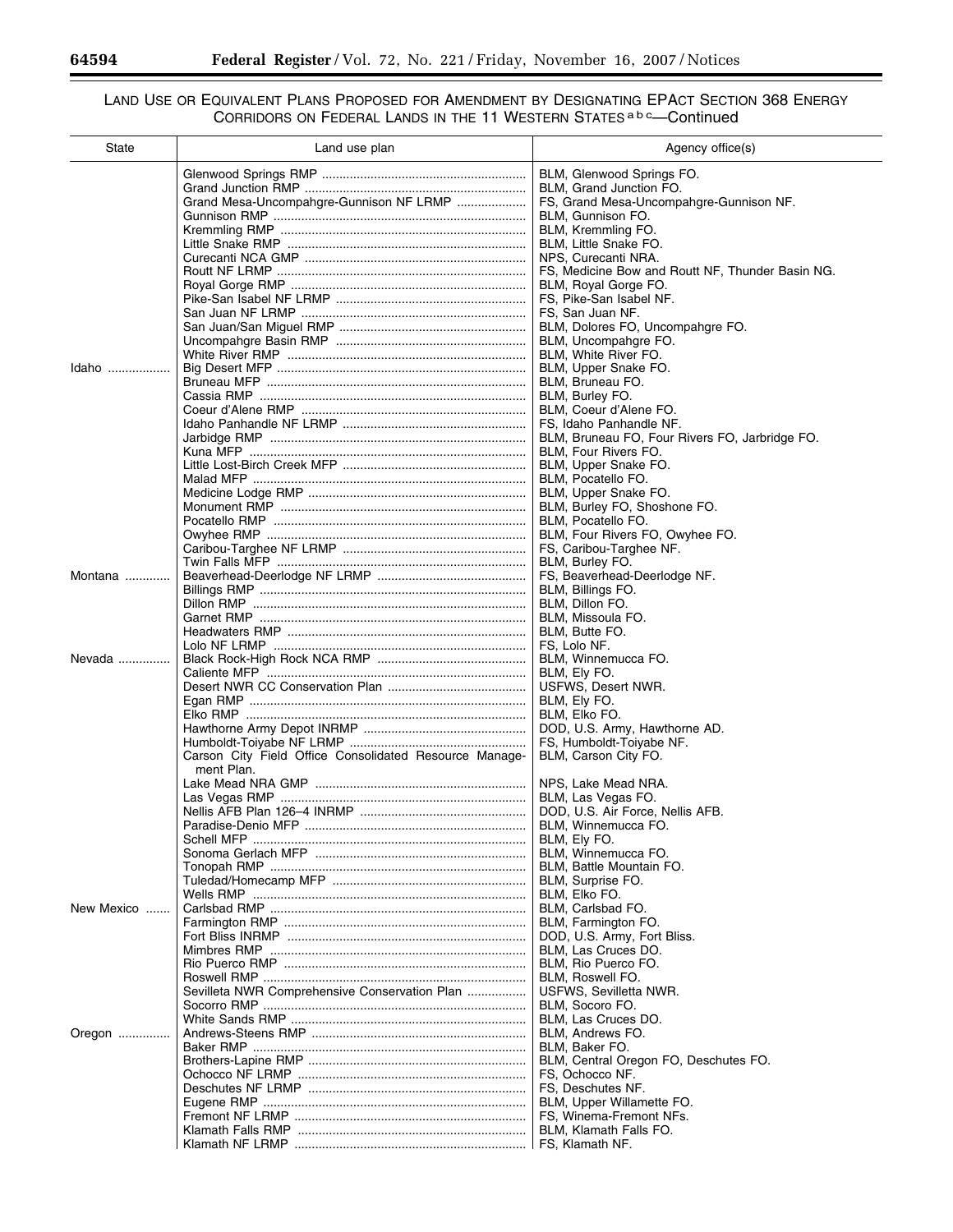-

Ξ

## LAND USE OR EQUIVALENT PLANS PROPOSED FOR AMENDMENT BY DESIGNATING EPACT SECTION 368 ENERGY CORRIDORS ON FEDERAL LANDS IN THE 11 WESTERN STATES a b <sup>c</sup>—Continued

| State      | Land use plan                                          | Agency office(s)                                                        |
|------------|--------------------------------------------------------|-------------------------------------------------------------------------|
|            |                                                        | BLM, Glenwood Springs FO.                                               |
|            |                                                        | BLM, Grand Junction FO.                                                 |
|            | Grand Mesa-Uncompahgre-Gunnison NF LRMP                | FS, Grand Mesa-Uncompahgre-Gunnison NF.                                 |
|            |                                                        | BLM, Gunnison FO.                                                       |
|            |                                                        | BLM, Kremmling FO.                                                      |
|            |                                                        | BLM, Little Snake FO.                                                   |
|            |                                                        | NPS, Curecanti NRA.<br>FS, Medicine Bow and Routt NF, Thunder Basin NG. |
|            |                                                        | BLM, Royal Gorge FO.                                                    |
|            |                                                        | FS, Pike-San Isabel NF.                                                 |
|            |                                                        | FS, San Juan NF.                                                        |
|            |                                                        | BLM, Dolores FO, Uncompahgre FO.                                        |
|            |                                                        | BLM, Uncompahgre FO.                                                    |
|            |                                                        | BLM, White River FO.                                                    |
| Idaho      |                                                        | BLM, Upper Snake FO.                                                    |
|            |                                                        | BLM, Bruneau FO.<br>BLM, Burley FO.                                     |
|            |                                                        | BLM, Coeur d'Alene FO.                                                  |
|            |                                                        | FS, Idaho Panhandle NF.                                                 |
|            |                                                        | BLM, Bruneau FO, Four Rivers FO, Jarbridge FO.                          |
|            |                                                        | BLM, Four Rivers FO.                                                    |
|            |                                                        | BLM, Upper Snake FO.                                                    |
|            |                                                        | BLM, Pocatello FO.                                                      |
|            |                                                        | BLM, Upper Snake FO.                                                    |
|            |                                                        | BLM, Burley FO, Shoshone FO.<br>BLM. Pocatello FO.                      |
|            |                                                        | BLM, Four Rivers FO, Owyhee FO.                                         |
|            |                                                        | FS, Caribou-Targhee NF.                                                 |
|            |                                                        | BLM, Burley FO.                                                         |
| Montana    |                                                        | FS, Beaverhead-Deerlodge NF.                                            |
|            |                                                        | BLM, Billings FO.                                                       |
|            |                                                        | BLM, Dillon FO.                                                         |
|            |                                                        | BLM, Missoula FO.                                                       |
|            |                                                        | BLM, Butte FO.<br>FS, Lolo NF.                                          |
| Nevada     |                                                        | BLM, Winnemucca FO.                                                     |
|            |                                                        | BLM, Ely FO.                                                            |
|            |                                                        | USFWS, Desert NWR.                                                      |
|            |                                                        | BLM, Ely FO.                                                            |
|            |                                                        | BLM, Elko FO.                                                           |
|            |                                                        | DOD, U.S. Army, Hawthorne AD.                                           |
|            | Carson City Field Office Consolidated Resource Manage- | FS, Humboldt-Toiyabe NF.<br>BLM, Carson City FO.                        |
|            | ment Plan.                                             |                                                                         |
|            |                                                        | NPS, Lake Mead NRA.                                                     |
|            |                                                        | BLM, Las Vegas FO.                                                      |
|            |                                                        | DOD, U.S. Air Force, Nellis AFB.                                        |
|            |                                                        | BLM, Winnemucca FO.                                                     |
|            |                                                        | BLM, Ely FO.                                                            |
|            |                                                        | BLM, Winnemucca FO.<br>BLM, Battle Mountain FO.                         |
|            |                                                        | BLM, Surprise FO.                                                       |
|            |                                                        | BLM, Elko FO.                                                           |
| New Mexico |                                                        | BLM, Carlsbad FO.                                                       |
|            |                                                        | BLM, Farmington FO.                                                     |
|            |                                                        | DOD, U.S. Army, Fort Bliss.                                             |
|            |                                                        | BLM. Las Cruces DO.                                                     |
|            |                                                        | BLM. Rio Puerco FO.                                                     |
|            | Sevilleta NWR Comprehensive Conservation Plan          | BLM, Roswell FO.<br>USFWS, Sevilletta NWR.                              |
|            |                                                        | BLM, Socoro FO.                                                         |
|            |                                                        | BLM, Las Cruces DO.                                                     |
| Oregon     |                                                        | BLM, Andrews FO.                                                        |
|            |                                                        | BLM, Baker FO.                                                          |
|            |                                                        | BLM, Central Oregon FO, Deschutes FO.                                   |
|            |                                                        | FS, Ochocco NF.                                                         |
|            |                                                        | FS, Deschutes NF.                                                       |
|            |                                                        | BLM, Upper Willamette FO.<br>FS, Winema-Fremont NFs.                    |
|            |                                                        | BLM, Klamath Falls FO.                                                  |
|            |                                                        | l FS, Klamath NF.                                                       |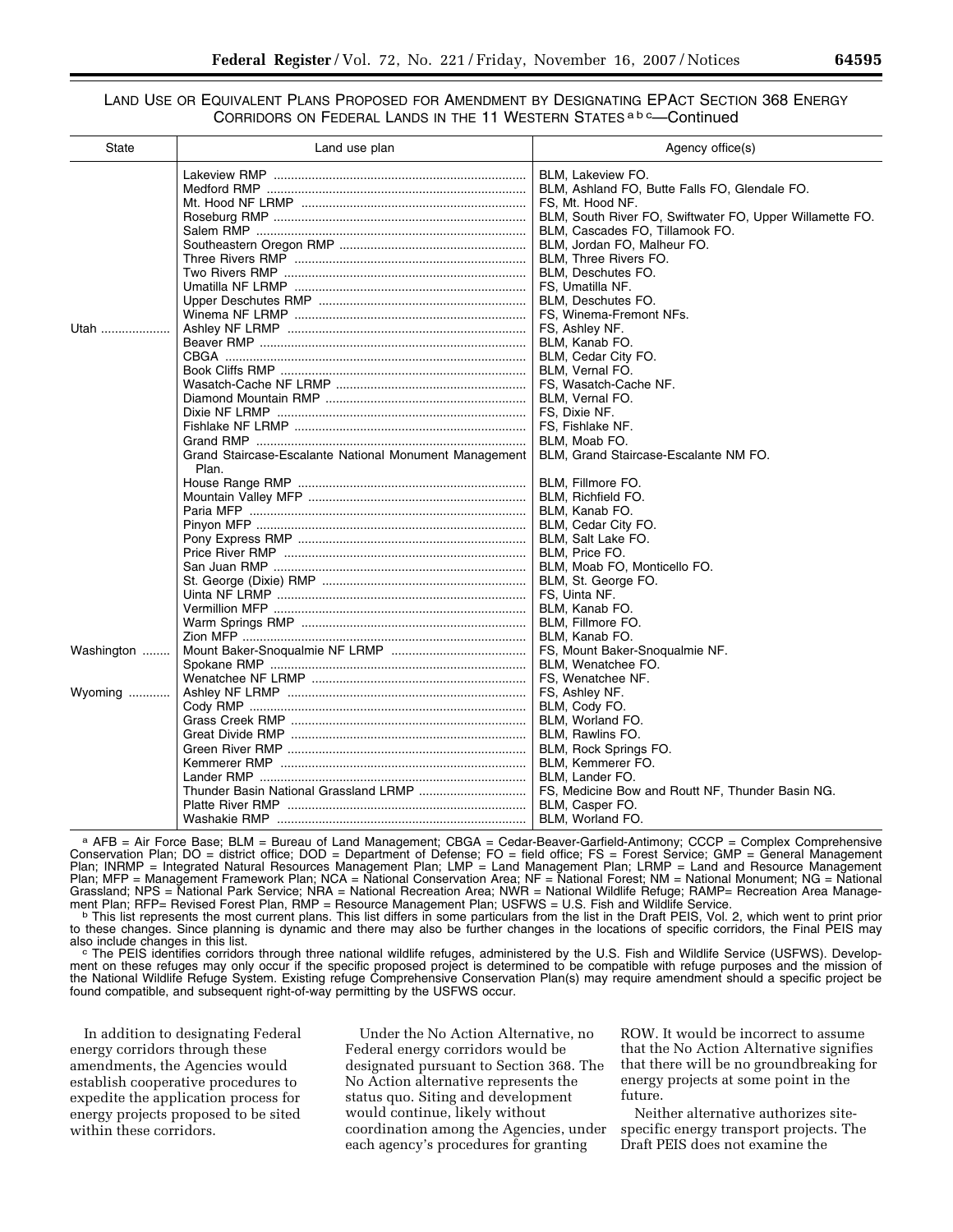## LAND USE OR EQUIVALENT PLANS PROPOSED FOR AMENDMENT BY DESIGNATING EPACT SECTION 368 ENERGY CORRIDORS ON FEDERAL LANDS IN THE 11 WESTERN STATES a b <sup>c</sup>-Continued

| <b>State</b> | Land use plan                                          | Agency office(s)                                         |
|--------------|--------------------------------------------------------|----------------------------------------------------------|
|              |                                                        | BLM, Lakeview FO.                                        |
|              |                                                        | BLM, Ashland FO, Butte Falls FO, Glendale FO.            |
|              |                                                        | FS, Mt. Hood NF.                                         |
|              |                                                        | BLM, South River FO, Swiftwater FO, Upper Willamette FO. |
|              |                                                        | BLM, Cascades FO, Tillamook FO.                          |
|              |                                                        | BLM, Jordan FO, Malheur FO.                              |
|              |                                                        | BLM, Three Rivers FO.                                    |
|              |                                                        | BLM, Deschutes FO.                                       |
|              |                                                        | FS, Umatilla NF.                                         |
|              |                                                        | BLM, Deschutes FO.                                       |
|              |                                                        | FS, Winema-Fremont NFs.                                  |
| Utah         |                                                        | FS, Ashley NF.                                           |
|              |                                                        | BLM, Kanab FO.                                           |
|              |                                                        | BLM, Cedar City FO.                                      |
|              |                                                        | BLM. Vernal FO.                                          |
|              |                                                        | FS, Wasatch-Cache NF.                                    |
|              |                                                        | BLM. Vernal FO.                                          |
|              |                                                        | FS, Dixie NF.                                            |
|              |                                                        | FS. Fishlake NF.                                         |
|              |                                                        | BLM, Moab FO.                                            |
|              | Grand Staircase-Escalante National Monument Management | BLM, Grand Staircase-Escalante NM FO.                    |
|              | Plan.                                                  |                                                          |
|              |                                                        | BLM, Fillmore FO.                                        |
|              |                                                        | BLM, Richfield FO.                                       |
|              |                                                        | BLM, Kanab FO.                                           |
|              |                                                        | BLM, Cedar City FO.                                      |
|              |                                                        | BLM, Salt Lake FO.                                       |
|              |                                                        | BLM, Price FO.                                           |
|              |                                                        | BLM, Moab FO, Monticello FO.                             |
|              |                                                        | BLM, St. George FO.                                      |
|              |                                                        | FS, Uinta NF.                                            |
|              |                                                        | BLM, Kanab FO.                                           |
|              |                                                        | BLM, Fillmore FO.                                        |
|              |                                                        | BLM, Kanab FO.                                           |
|              |                                                        |                                                          |
| Washington   |                                                        | FS, Mount Baker-Snoqualmie NF.                           |
|              |                                                        | BLM, Wenatchee FO.                                       |
|              |                                                        | FS, Wenatchee NF.                                        |
| Wyoming      |                                                        | FS, Ashley NF.                                           |
|              |                                                        | BLM, Cody FO.                                            |
|              |                                                        | BLM, Worland FO.                                         |
|              |                                                        | BLM, Rawlins FO.                                         |
|              |                                                        | BLM, Rock Springs FO.                                    |
|              |                                                        | BLM, Kemmerer FO.                                        |
|              |                                                        | BLM, Lander FO.                                          |
|              |                                                        | FS, Medicine Bow and Routt NF, Thunder Basin NG.         |
|              |                                                        | BLM, Casper FO.                                          |
|              |                                                        | BLM, Worland FO.                                         |

a AFB = Air Force Base; BLM = Bureau of Land Management; CBGA = Cedar-Beaver-Garfield-Antimony; CCCP = Complex Comprehensive Conservation Plan; DO = district office; DOD = Department of Defense; FO = field office; FS = Forest Service; GMP = General Management Plan; INRMP = Integrated Natural Resources Management Plan; LMP = Land Management Plan; LRMP = Land and Resource Management Plan; MFP = Management Framework Plan; NCA = National Conservation Area; NF = National Forest; NM = National Monument; NG = National Grassland; NPS = National Park Service; NRA = National Recreation Area; NWR = National Wildlife Refuge; RAMP= Recreation Area Manage-

ment Plan; RFP= Revised Forest Plan, RMP = Resource Management Plan; USFWS = U.S. Fish and Wildlife Service.<br>This list represents the most current plans. This list differs in some particulars from the list in the Draft PEI to these changes. Since planning is dynamic and there may also be further changes in the locations of specific corridors, the Final PEIS may<br>also include changes in this list.

also include changes in this list.<br><sup>c</sup> The PEIS identifies corridors through three national wildlife refuges, administered by the U.S. Fish and Wildlife Service (USFWS). Development on these refuges may only occur if the specific proposed project is determined to be compatible with refuge purposes and the mission of the National Wildlife Refuge System. Existing refuge Comprehensive Conservation Plan(s) may require amendment should a specific project be found compatible, and subsequent right-of-way permitting by the USFWS occur.

In addition to designating Federal energy corridors through these amendments, the Agencies would establish cooperative procedures to expedite the application process for energy projects proposed to be sited within these corridors.

Under the No Action Alternative, no Federal energy corridors would be designated pursuant to Section 368. The No Action alternative represents the status quo. Siting and development would continue, likely without coordination among the Agencies, under each agency's procedures for granting

ROW. It would be incorrect to assume that the No Action Alternative signifies that there will be no groundbreaking for energy projects at some point in the future.

Neither alternative authorizes sitespecific energy transport projects. The Draft PEIS does not examine the